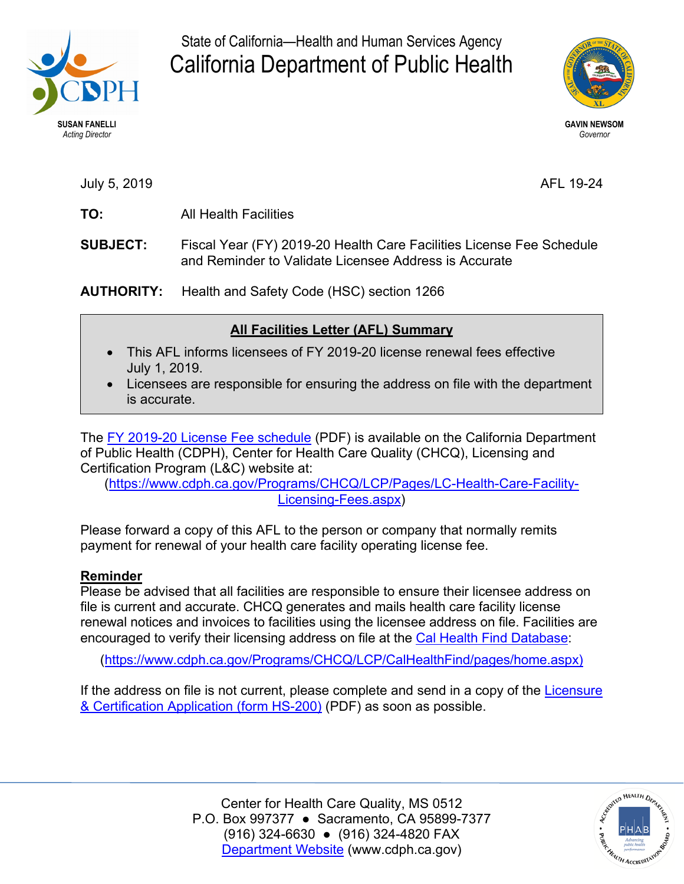

State of California—Health and Human Services Agency California Department of Public Health



July 5, 2019 AFL 19-24

- **TO:** All Health Facilities
- **SUBJECT:** Fiscal Year (FY) 2019-20 Health Care Facilities License Fee Schedule and Reminder to Validate Licensee Address is Accurate

**AUTHORITY:** Health and Safety Code (HSC) section 1266

# **All Facilities Letter (AFL) Summary**

- This AFL informs licensees of FY 2019-20 license renewal fees effective July 1, 2019.
- Licensees are responsible for ensuring the address on file with the department is accurate.

The [FY 2019-20 License Fee schedule](https://www.cdph.ca.gov/Programs/CHCQ/LCP/CDPH%20Document%20Library/AFL-19-24-Attachment-01.pdf) (PDF) is available on the California Department of Public Health (CDPH), Center for Health Care Quality (CHCQ), Licensing and Certification Program (L&C) website at:

[\(https://www.cdph.ca.gov/Programs/CHCQ/LCP/Pages/LC-Health-Care-Facility-](https://www.cdph.ca.gov/Programs/CHCQ/LCP/Pages/LC-Health-Care-Facility-Licensing-Fees.aspx)[Licensing-Fees.aspx\)](https://www.cdph.ca.gov/Programs/CHCQ/LCP/Pages/LC-Health-Care-Facility-Licensing-Fees.aspx)

Please forward a copy of this AFL to the person or company that normally remits payment for renewal of your health care facility operating license fee.

# **Reminder**

Please be advised that all facilities are responsible to ensure their licensee address on file is current and accurate. CHCQ generates and mails health care facility license renewal notices and invoices to facilities using the licensee address on file. Facilities are encouraged to verify their licensing address on file at the [Cal Health Find Database:](https://www.cdph.ca.gov/Programs/CHCQ/LCP/CalHealthFind/pages/home.aspx)

[\(https://www.cdph.ca.gov/Programs/CHCQ/LCP/CalHealthFind/pages/home.aspx\)](https://www.cdph.ca.gov/Programs/CHCQ/LCP/CalHealthFind/pages/home.aspx)

If the address on file is not current, please complete and send in a copy of the [Licensure](https://www.cdph.ca.gov/CDPH%20Document%20Library/ControlledForms/hs200.pdf#search=hs%20200)  [& Certification Application \(form HS-200\)](https://www.cdph.ca.gov/CDPH%20Document%20Library/ControlledForms/hs200.pdf#search=hs%20200) (PDF) as soon as possible.

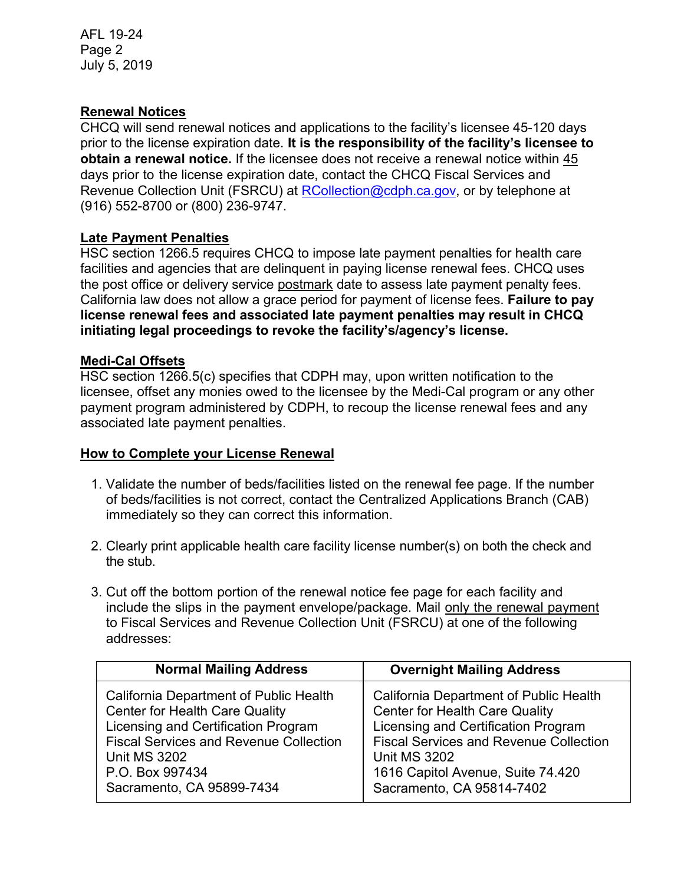AFL 19-24 Page 2 July 5, 2019

### **Renewal Notices**

CHCQ will send renewal notices and applications to the facility's licensee 45-120 days prior to the license expiration date. **It is the responsibility of the facility's licensee to obtain a renewal notice.** If the licensee does not receive a renewal notice within 45 days prior to the license expiration date, contact the CHCQ Fiscal Services and Revenue Collection Unit (FSRCU) at [RCollection@cdph.ca.gov,](mailto:RCollection@cdph.ca.gov) or by telephone at (916) 552-8700 or (800) 236-9747.

## **Late Payment Penalties**

HSC section 1266.5 requires CHCQ to impose late payment penalties for health care facilities and agencies that are delinquent in paying license renewal fees. CHCQ uses the post office or delivery service postmark date to assess late payment penalty fees. California law does not allow a grace period for payment of license fees. **Failure to pay license renewal fees and associated late payment penalties may result in CHCQ initiating legal proceedings to revoke the facility's/agency's license.** 

#### **Medi-Cal Offsets**

HSC section 1266.5(c) specifies that CDPH may, upon written notification to the licensee, offset any monies owed to the licensee by the Medi-Cal program or any other payment program administered by CDPH, to recoup the license renewal fees and any associated late payment penalties.

#### **How to Complete your License Renewal**

- 1. Validate the number of beds/facilities listed on the renewal fee page. If the number of beds/facilities is not correct, contact the Centralized Applications Branch (CAB) immediately so they can correct this information.
- 2. Clearly print applicable health care facility license number(s) on both the check and the stub.
- 3. Cut off the bottom portion of the renewal notice fee page for each facility and include the slips in the payment envelope/package. Mail only the renewal payment to Fiscal Services and Revenue Collection Unit (FSRCU) at one of the following addresses:

| <b>Normal Mailing Address</b>                 | <b>Overnight Mailing Address</b>              |
|-----------------------------------------------|-----------------------------------------------|
| California Department of Public Health        | California Department of Public Health        |
| <b>Center for Health Care Quality</b>         | <b>Center for Health Care Quality</b>         |
| Licensing and Certification Program           | Licensing and Certification Program           |
| <b>Fiscal Services and Revenue Collection</b> | <b>Fiscal Services and Revenue Collection</b> |
| <b>Unit MS 3202</b>                           | <b>Unit MS 3202</b>                           |
| P.O. Box 997434                               | 1616 Capitol Avenue, Suite 74.420             |
| Sacramento, CA 95899-7434                     | Sacramento, CA 95814-7402                     |